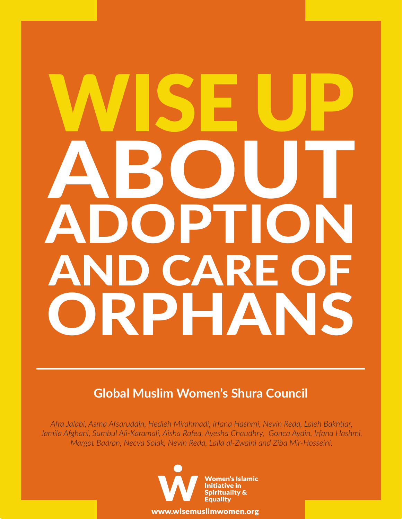# ABOUT ADOPTION AND CARE OF ORPHANS

### **Global Muslim Women's Shura Council**

*Afra Jalabi, Asma Afsaruddin, Hedieh Mirahmadi, Irfana Hashmi, Nevin Reda, Laleh Bakhtiar, Jamila Afghani, Sumbul Ali-Karamali, Aisha Rafea, Ayesha Chaudhry, Gonca Aydin, Irfana Hashmi, Margot Badran, Necva Solak, Nevin Reda, Laila al-Zwaini and Ziba Mir-Hosseini.*



www.wisemuslimwomen.org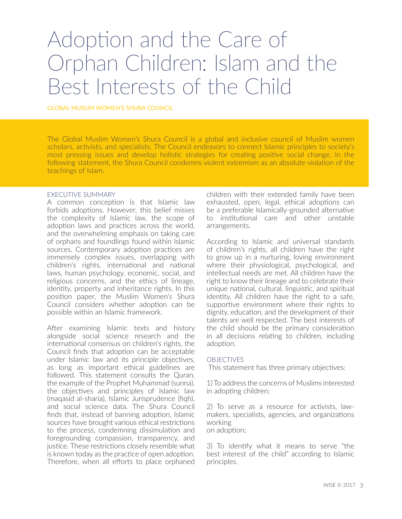## Adoption and the Care of Orphan Children: Islam and the Best Interests of the Child

GLOBAL MUSLIM WOMEN'S SHURA COUNCIL

The Global Muslim Women's Shura Council is a global and inclusive council of Muslim women scholars, activists, and specialists. The Council endeavors to connect Islamic principles to society's most pressing issues and develop holistic strategies for creating positive social change. In the following statement, the Shura Council condemns violent extremism as an absolute violation of the teachings of Islam.

#### EXECUTIVE SUMMARY

A common conception is that Islamic law forbids adoptions. However, this belief misses the complexity of Islamic law, the scope of adoption laws and practices across the world, and the overwhelming emphasis on taking care of orphans and foundlings found within Islamic sources. Contemporary adoption practices are immensely complex issues, overlapping with children's rights, international and national laws, human psychology, economic, social, and religious concerns, and the ethics of lineage, identity, property and inheritance rights. In this position paper, the Muslim Women's Shura Council considers whether adoption can be possible within an Islamic framework.

After examining Islamic texts and history alongside social science research and the international consensus on children's rights, the Council finds that adoption can be acceptable under Islamic law and its principle objectives, as long as important ethical guidelines are followed. This statement consults the Quran, the example of the Prophet Muhammad (sunna), the objectives and principles of Islamic law (maqasid al-sharia), Islamic Jurisprudence (fiqh), and social science data. The Shura Council finds that, instead of banning adoption, Islamic sources have brought various ethical restrictions to the process, condemning dissimulation and foregrounding compassion, transparency, and justice. These restrictions closely resemble what is known today as the practice of open adoption. Therefore, when all efforts to place orphaned children with their extended family have been exhausted, open, legal, ethical adoptions can be a preferable Islamically-grounded alternative to institutional care and other unstable arrangements.

According to Islamic and universal standards of children's rights, all children have the right to grow up in a nurturing, loving environment where their physiological, psychological, and intellectual needs are met. All children have the right to know their lineage and to celebrate their unique national, cultural, linguistic, and spiritual identity. All children have the right to a safe, supportive environment where their rights to dignity, education, and the development of their talents are well respected. The best interests of the child should be the primary consideration in all decisions relating to children, including adoption.

#### OBJECTIVES

This statement has three primary objectives:

1) To address the concerns of Muslims interested in adopting children;

2) To serve as a resource for activists, lawmakers, specialists, agencies, and organizations working on adoption;

3) To identify what it means to serve "the best interest of the child" according to Islamic principles.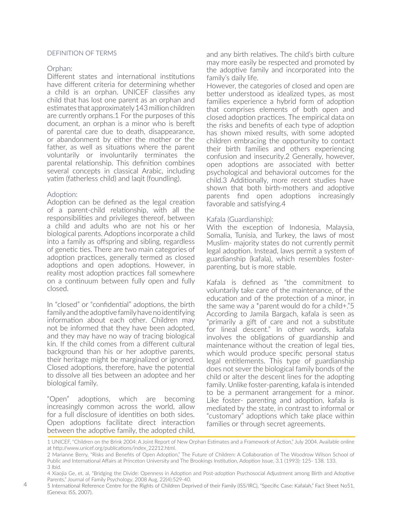#### DEFINITION OF TERMS

#### Orphan:

Different states and international institutions have different criteria for determining whether a child is an orphan. UNICEF classifies any child that has lost one parent as an orphan and estimates that approximately 143 million children are currently orphans.1 For the purposes of this document, an orphan is a minor who is bereft of parental care due to death, disappearance, or abandonment by either the mother or the father, as well as situations where the parent voluntarily or involuntarily terminates the parental relationship. This definition combines several concepts in classical Arabic, including yatim (fatherless child) and laqit (foundling).

#### Adoption:

Adoption can be defined as the legal creation of a parent-child relationship, with all the responsibilities and privileges thereof, between a child and adults who are not his or her biological parents. Adoptions incorporate a child into a family as offspring and sibling, regardless of genetic ties. There are two main categories of adoption practices, generally termed as closed adoptions and open adoptions. However, in reality most adoption practices fall somewhere on a continuum between fully open and fully closed.

In "closed" or "confidential" adoptions, the birth family and the adoptive family have no identifying information about each other. Children may not be informed that they have been adopted, and they may have no way of tracing biological kin. If the child comes from a different cultural background than his or her adoptive parents, their heritage might be marginalized or ignored. Closed adoptions, therefore, have the potential to dissolve all ties between an adoptee and her biological family.

"Open" adoptions, which are becoming increasingly common across the world, allow for a full disclosure of identities on both sides. Open adoptions facilitate direct interaction between the adoptive family, the adopted child,

and any birth relatives. The child's birth culture may more easily be respected and promoted by the adoptive family and incorporated into the family's daily life.

However, the categories of closed and open are better understood as idealized types, as most families experience a hybrid form of adoption that comprises elements of both open and closed adoption practices. The empirical data on the risks and benefits of each type of adoption has shown mixed results, with some adopted children embracing the opportunity to contact their birth families and others experiencing confusion and insecurity.2 Generally, however, open adoptions are associated with better psychological and behavioral outcomes for the child.3 Additionally, more recent studies have shown that both birth-mothers and adoptive parents find open adoptions increasingly favorable and satisfying.4

#### Kafala (Guardianship):

With the exception of Indonesia, Malaysia, Somalia, Tunisia, and Turkey, the laws of most Muslim- majority states do not currently permit legal adoption. Instead, laws permit a system of guardianship (kafala), which resembles fosterparenting, but is more stable.

Kafala is defined as "the commitment to voluntarily take care of the maintenance, of the education and of the protection of a minor, in the same way a \*parent would do for a child+."5 According to Jamila Bargach, kafala is seen as "primarily a gift of care and not a substitute for lineal descent." In other words, kafala involves the obligations of guardianship and maintenance without the creation of legal ties, which would produce specific personal status legal entitlements. This type of guardianship does not sever the biological family bonds of the child or alter the descent lines for the adopting family. Unlike foster-parenting, kafala is intended to be a permanent arrangement for a minor. Like foster- parenting and adoption, kafala is mediated by the state, in contrast to informal or "customary" adoptions which take place within families or through secret agreements.

<sup>1</sup> UNICEF, "Children on the Brink 2004: A Joint Report of New Orphan Estimates and a Framework of Action," July 2004. Available online at http://www.unicef.org/publications/index\_22212.html.

<sup>2</sup> Marianne Berry, "Risks and Benefits of Open Adoption," The Future of Children: A Collaboration of The Woodrow Wilson School of Public and International Affairs at Princeton University and The Brookings Institution, Adoption Issue, 3.1 (1993): 125- 138. 133. 3 Ibid.

<sup>4</sup> Xiaojia Ge, et. al, "Bridging the Divide: Openness in Adoption and Post-adoption Psychosocial Adjustment among Birth and Adoptive Parents," Journal of Family Psychology, 2008 Aug, 22(4):529-40.

<sup>5</sup> International Reference Centre for the Rights of Children Deprived of their Family (ISS/IRC), "Specific Case: Kafalah," Fact Sheet No51, (Geneva: ISS, 2007).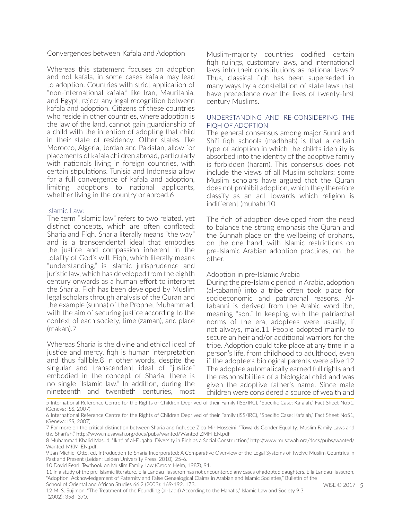Convergences between Kafala and Adoption

Whereas this statement focuses on adoption and not kafala, in some cases kafala may lead to adoption. Countries with strict application of "non-international kafala," like Iran, Mauritania, and Egypt, reject any legal recognition between kafala and adoption. Citizens of these countries who reside in other countries, where adoption is the law of the land, cannot gain guardianship of a child with the intention of adopting that child in their state of residency. Other states, like Morocco, Algeria, Jordan and Pakistan, allow for placements of kafala children abroad, particularly with nationals living in foreign countries, with certain stipulations. Tunisia and Indonesia allow for a full convergence of kafala and adoption, limiting adoptions to national applicants, whether living in the country or abroad.6

#### Islamic Law:

The term "Islamic law" refers to two related, yet distinct concepts, which are often conflated: Sharia and Fiqh. Sharia literally means "the way" and is a transcendental ideal that embodies the justice and compassion inherent in the totality of God's will. Fiqh, which literally means "understanding," is Islamic jurisprudence and juristic law, which has developed from the eighth century onwards as a human effort to interpret the Sharia. Fiqh has been developed by Muslim legal scholars through analysis of the Quran and the example (sunna) of the Prophet Muhammad, with the aim of securing justice according to the context of each society, time (zaman), and place (makan).7

Whereas Sharia is the divine and ethical ideal of justice and mercy, fiqh is human interpretation and thus fallible.8 In other words, despite the singular and transcendent ideal of "justice" embodied in the concept of Sharia, there is no single "Islamic law." In addition, during the nineteenth and twentieth centuries, most

Muslim-majority countries codified certain fiqh rulings, customary laws, and international laws into their constitutions as national laws.9 Thus, classical fiqh has been superseded in many ways by a constellation of state laws that have precedence over the lives of twenty-first century Muslims.

#### UNDERSTANDING AND RE-CONSIDERING THE FIQH OF ADOPTION

The general consensus among major Sunni and Shi'i fiqh schools (madhhab) is that a certain type of adoption in which the child's identity is absorbed into the identity of the adoptive family is forbidden (haram). This consensus does not include the views of all Muslim scholars: some Muslim scholars have argued that the Quran does not prohibit adoption, which they therefore classify as an act towards which religion is indifferent (mubah).10

The fiqh of adoption developed from the need to balance the strong emphasis the Quran and the Sunnah place on the wellbeing of orphans, on the one hand, with Islamic restrictions on pre-Islamic Arabian adoption practices, on the other.

#### Adoption in pre-Islamic Arabia

During the pre-Islamic period in Arabia, adoption (al-tabanni) into a tribe often took place for socioeconomic and patriarchal reasons. Altabanni is derived from the Arabic word ibn, meaning "son." In keeping with the patriarchal norms of the era, adoptees were usually, if not always, male.11 People adopted mainly to secure an heir and/or additional warriors for the tribe. Adoption could take place at any time in a person's life, from childhood to adulthood, even if the adoptee's biological parents were alive.12 The adoptee automatically earned full rights and the responsibilities of a biological child and was given the adoptive father's name. Since male children were considered a source of wealth and

<sup>5</sup> International Reference Centre for the Rights of Children Deprived of their Family (ISS/IRC), "Specific Case: Kafalah," Fact Sheet No51, (Geneva: ISS, 2007).

<sup>6</sup> International Reference Centre for the Rights of Children Deprived of their Family (ISS/IRC), "Specific Case: Kafalah," Fact Sheet No51, (Geneva: ISS, 2007).

<sup>7</sup> For more on the critical distinction between Sharia and fiqh, see Ziba Mir-Hosseini, "Towards Gender Equality: Muslim Family Laws and the Shari'ah," http://www.musawah.org/docs/pubs/wanted/Wanted-ZMH-EN.pdf

<sup>8</sup> Muhammad Khalid Masud, "Ikhtilaf al-Fuqaha: Diversity in Fiqh as a Social Construction," http://www.musawah.org/docs/pubs/wanted/ Wanted-MKM-EN.pdf.

<sup>9</sup> Jan Michiel Otto, ed. Introduction to Sharia Incorporated: A Comparative Overview of the Legal Systems of Twelve Muslim Countries in Past and Present (Leiden: Leiden University Press, 2010), 25-6.

<sup>10</sup> David Pearl, Textbook on Muslim Family Law (Croom Helm, 1987), 91.

<sup>11</sup> In a study of the pre-Islamic literature, Ella Landau-Tasseron has not encountered any cases of adopted daughters. Ella Landau-Tasseron, "Adoption, Acknowledgement of Paternity and False Genealogical Claims in Arabian and Islamic Societies," Bulletin of the School of Oriental and African Studies 66.2 (2003): 169-192. 173.

<sup>12</sup> M. S. Sujimon, "The Treatment of the Foundling (al-Laqīṭ) According to the Ḥanafīs," Islamic Law and Society 9.3 (2002): 358- 370.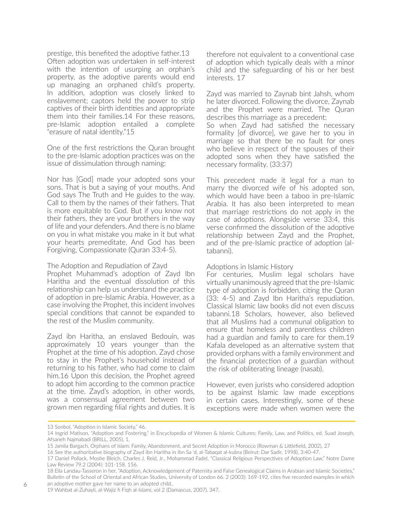prestige, this benefited the adoptive father.13 Often adoption was undertaken in self-interest with the intention of usurping an orphan's property, as the adoptive parents would end up managing an orphaned child's property. In addition, adoption was closely linked to enslavement; captors held the power to strip captives of their birth identities and appropriate them into their families.14 For these reasons, pre-Islamic adoption entailed a complete "erasure of natal identity."15

One of the first restrictions the Quran brought to the pre-Islamic adoption practices was on the issue of dissimulation through naming:

Nor has [God] made your adopted sons your sons. That is but a saying of your mouths. And God says The Truth and He guides to the way. Call to them by the names of their fathers. That is more equitable to God. But if you know not their fathers, they are your brothers in the way of life and your defenders. And there is no blame on you in what mistake you make in it but what your hearts premeditate. And God has been Forgiving, Compassionate (Quran 33:4-5).

#### The Adoption and Repudiation of Zayd

Prophet Muhammad's adoption of Zayd Ibn Haritha and the eventual dissolution of this relationship can help us understand the practice of adoption in pre-Islamic Arabia. However, as a case involving the Prophet, this incident involves special conditions that cannot be expanded to the rest of the Muslim community.

Zayd ibn Haritha, an enslaved Bedouin, was approximately 10 years younger than the Prophet at the time of his adoption. Zayd chose to stay in the Prophet's household instead of returning to his father, who had come to claim him.16 Upon this decision, the Prophet agreed to adopt him according to the common practice at the time. Zayd's adoption, in other words, was a consensual agreement between two grown men regarding filial rights and duties. It is

therefore not equivalent to a conventional case of adoption which typically deals with a minor child and the safeguarding of his or her best interests. 17

Zayd was married to Zaynab bint Jahsh, whom he later divorced. Following the divorce, Zaynab and the Prophet were married. The Quran describes this marriage as a precedent:

So when Zayd had satisfied the necessary formality [of divorce], we gave her to you in marriage so that there be no fault for ones who believe in respect of the spouses of their adopted sons when they have satisfied the necessary formality. (33:37)

This precedent made it legal for a man to marry the divorced wife of his adopted son, which would have been a taboo in pre-Islamic Arabia. It has also been interpreted to mean that marriage restrictions do not apply in the case of adoptions. Alongside verse 33:4, this verse confirmed the dissolution of the adoptive relationship between Zayd and the Prophet, and of the pre-Islamic practice of adoption (altabanni).

#### Adoptions in Islamic History

For centuries, Muslim legal scholars have virtually unanimously agreed that the pre-Islamic type of adoption is forbidden, citing the Quran (33: 4-5) and Zayd Ibn Haritha's repudiation. Classical Islamic law books did not even discuss tabanni.18 Scholars, however, also believed that all Muslims had a communal obligation to ensure that homeless and parentless children had a guardian and family to care for them.19 Kafala developed as an alternative system that provided orphans with a family environment and the financial protection of a guardian without the risk of obliterating lineage (nasab).

However, even jurists who considered adoption to be against Islamic law made exceptions in certain cases. Interestingly, some of these exceptions were made when women were the

<sup>13</sup> Sonbol, "Adoption in Islamic Society," 46.

<sup>14</sup> Ingrid Matison, "Adoption and Fostering," in Encyclopedia of Women & Islamic Cultures: Family, Law, and Politics, ed. Suad Joseph, Afsaneh Najmabadi (BRILL, 2005), 1.

<sup>15</sup> Jamila Bargach, Orphans of Islam: Family, Abandonment, and Secret Adoption in Morocco (Rowman & Littlefield, 2002), 27

<sup>16</sup> See the authoritative biography of Zayd ibn Haritha in Ibn Sa 'd, al-Tabaqat al-kubra (Beirut: Dar Sadir, 1998), 3:40-47.

<sup>17</sup> Daniel Pollack, Moshe Bleich, Charles J. Reid, Jr., Mohammad Fadel, "Classical Religious Perspectives of Adoption Law," Notre Dame Law Review 79.2 (2004): 101-158. 156.

<sup>18</sup> Ella Landau-Tasseron in her, "Adoption, Acknowledgement of Paternity and False Genealogical Claims in Arabian and Islamic Societies," Bulletin of the School of Oriental and African Studies, University of London 66. 2 (2003): 169-192, cites five recorded examples in which an adoptive mother gave her name to an adopted child..

<sup>19</sup> Wahbat al-Zuhayli, al-Wajiz fi Fiqh al-Islami, vol 2 (Damascus, 2007), 347.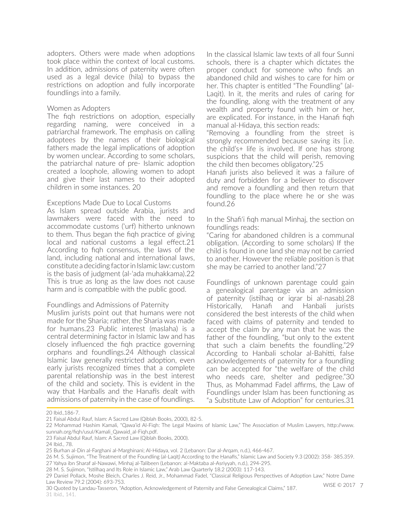adopters. Others were made when adoptions took place within the context of local customs. In addition, admissions of paternity were often used as a legal device (hila) to bypass the restrictions on adoption and fully incorporate foundlings into a family.

#### Women as Adopters

The fiqh restrictions on adoption, especially regarding naming, were conceived in a patriarchal framework. The emphasis on calling adoptees by the names of their biological fathers made the legal implications of adoption by women unclear. According to some scholars, the patriarchal nature of pre- Islamic adoption created a loophole, allowing women to adopt and give their last names to their adopted children in some instances. 20

#### Exceptions Made Due to Local Customs

As Islam spread outside Arabia, jurists and lawmakers were faced with the need to accommodate customs ('urf) hitherto unknown to them. Thus began the fiqh practice of giving local and national customs a legal effect.21 According to fiqh consensus, the laws of the land, including national and international laws, constitute a deciding factor in Islamic law: custom is the basis of judgment (al-'ada muhakkama).22 This is true as long as the law does not cause harm and is compatible with the public good.

#### Foundlings and Admissions of Paternity

Muslim jurists point out that humans were not made for the Sharia; rather, the Sharia was made for humans.23 Public interest (maslaha) is a central determining factor in Islamic law and has closely influenced the fiqh practice governing orphans and foundlings.24 Although classical Islamic law generally restricted adoption, even early jurists recognized times that a complete parental relationship was in the best interest of the child and society. This is evident in the way that Hanbalîs and the Hanafîs dealt with admissions of paternity in the case of foundlings.

In the classical Islamic law texts of all four Sunni schools, there is a chapter which dictates the proper conduct for someone who finds an abandoned child and wishes to care for him or her. This chapter is entitled "The Foundling" (al-Laqit). In it, the merits and rules of caring for the foundling, along with the treatment of any wealth and property found with him or her, are explicated. For instance, in the Hanafi fiqh manual al-Hidaya, this section reads:

"Removing a foundling from the street is strongly recommended because saving its [i.e. the child's+ life is involved. If one has strong suspicions that the child will perish, removing the child then becomes obligatory."25

Hanafi jurists also believed it was a failure of duty and forbidden for a believer to discover and remove a foundling and then return that foundling to the place where he or she was found.26

In the Shafi'i fiqh manual Minhaj, the section on foundlings reads:

"Caring for abandoned children is a communal obligation. (According to some scholars) If the child is found in one land she may not be carried to another. However the reliable position is that she may be carried to another land."27

Foundlings of unknown parentage could gain a genealogical parentage via an admission of paternity (istilhaq or iqrar bi al-nasab).28 Historically, Hanafi and Hanbali jurists considered the best interests of the child when faced with claims of paternity and tended to accept the claim by any man that he was the father of the foundling, "but only to the extent that such a claim benefits the foundling."29 According to Hanbali scholar al-Bahitti, false acknowledgements of paternity for a foundling can be accepted for "the welfare of the child who needs care, shelter and pedigree."30 Thus, as Mohammad Fadel affirms, the Law of Foundlings under Islam has been functioning as "a Substitute Law of Adoption" for centuries.31

30 Quoted by Landau-Tasseron, "Adoption, Acknowledgement of Paternity and False Genealogical Claims," 187. 31 Ibid., 141.

<sup>20</sup> Ibid. 186-7.

<sup>21</sup> Faisal Abdul Rauf, Islam: A Sacred Law (Qiblah Books, 2000), 82-5.

<sup>22</sup> Mohammad Hashim Kamali, "Qawa'id Al-Fiqh: The Legal Maxims of Islamic Law," The Association of Muslim Lawyers, http://www. sunnah.org/fiqh/usul/Kamali\_Qawaid\_al-Fiqh.pdf.

<sup>23</sup> Faisal Abdul Rauf, Islam: A Sacred Law (Qiblah Books, 2000).

<sup>24</sup> Ibid., 78.

<sup>25</sup> Burhan al-Din al-Farghani al-Marghinani; Al-Hidaya, vol. 2 (Lebanon: Dar al-Arqam, n.d.), 466-467.

<sup>26</sup> M. S. Sujimon, "The Treatment of the Foundling (al-Laqīṭ) According to the Ḥanafīs," Islamic Law and Society 9.3 (2002): 358- 385.359. 27 Yahya ibn Sharaf al-Nawawi, Minhaj al-Talibeen (Lebanon: al-Maktaba al-Asriyyah, n.d.), 294-295.

<sup>28</sup> M. S. Sujimon, "Istilhaq and Its Role in Islamic Law," Arab Law Quarterly 18.2 (2003): 117-143.

<sup>29</sup> Daniel Pollack, Moshe Bleich, Charles J. Reid, Jr., Mohammad Fadel, "Classical Religious Perspectives of Adoption Law," Notre Dame Law Review 79.2 (2004): 693-753.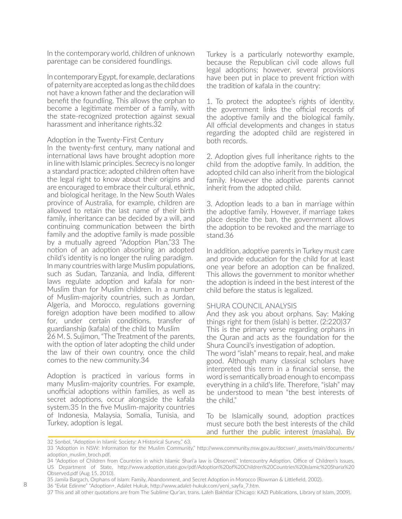In the contemporary world, children of unknown parentage can be considered foundlings.

In contemporary Egypt, for example, declarations of paternity are accepted as long as the child does not have a known father and the declaration will benefit the foundling. This allows the orphan to become a legitimate member of a family, with the state-recognized protection against sexual harassment and inheritance rights.32

#### Adoption in the Twenty-First Century

In the twenty-first century, many national and international laws have brought adoption more in line with Islamic principles. Secrecy is no longer a standard practice; adopted children often have the legal right to know about their origins and are encouraged to embrace their cultural, ethnic, and biological heritage. In the New South Wales province of Australia, for example, children are allowed to retain the last name of their birth family, inheritance can be decided by a will, and continuing communication between the birth family and the adoptive family is made possible by a mutually agreed "Adoption Plan."33 The notion of an adoption absorbing an adopted child's identity is no longer the ruling paradigm. In many countries with large Muslim populations, such as Sudan, Tanzania, and India, different laws regulate adoption and kafala for non-Muslim than for Muslim children. In a number of Muslim-majority countries, such as Jordan, Algeria, and Morocco, regulations governing foreign adoption have been modified to allow for, under certain conditions, transfer of guardianship (kafala) of the child to Muslim 26 M. S. Sujimon, "The Treatment of the parents, with the option of later adopting the child under the law of their own country, once the child comes to the new community.34

Adoption is practiced in various forms in many Muslim-majority countries. For example, unofficial adoptions within families, as well as secret adoptions, occur alongside the kafala system.35 In the five Muslim-majority countries of Indonesia, Malaysia, Somalia, Tunisia, and Turkey, adoption is legal.

Turkey is a particularly noteworthy example, because the Republican civil code allows full legal adoptions; however, several provisions have been put in place to prevent friction with the tradition of kafala in the country:

1. To protect the adoptee's rights of identity, the government links the official records of the adoptive family and the biological family. All official developments and changes in status regarding the adopted child are registered in both records.

2. Adoption gives full inheritance rights to the child from the adoptive family. In addition, the adopted child can also inherit from the biological family. However the adoptive parents cannot inherit from the adopted child.

3. Adoption leads to a ban in marriage within the adoptive family. However, if marriage takes place despite the ban, the government allows the adoption to be revoked and the marriage to stand.36

In addition, adoptive parents in Turkey must care and provide education for the child for at least one year before an adoption can be finalized. This allows the government to monitor whether the adoption is indeed in the best interest of the child before the status is legalized.

#### SHURA COUNCIL ANALYSIS

And they ask you about orphans. Say: Making things right for them (islah) is better. (2:220)37 This is the primary verse regarding orphans in the Quran and acts as the foundation for the Shura Council's investigation of adoption.

The word "islah" means to repair, heal, and make good. Although many classical scholars have interpreted this term in a financial sense, the word is semantically broad enough to encompass everything in a child's life. Therefore, "islah" may be understood to mean "the best interests of the child."

To be Islamically sound, adoption practices must secure both the best interests of the child and further the public interest (maslaha). By

<sup>32</sup> Sonbol, "Adoption in Islamic Society: A Historical Survey," 63.

<sup>33 &</sup>quot;Adoption in NSW: Information for the Muslim Community," http://www.community.nsw.gov.au/docswr/\_assets/main/documents/ adoption\_muslim\_broch.pdf.

<sup>34 &</sup>quot;Adoption of Children from Countries in which Islamic Shari'a law is Observed," Intercountry Adoption, Office of Children's Issues, US Department of State, http://www.adoption.state.gov/pdf/Adoption%20of%20Children%20Countries%20Islamic%20Sharia%20 Observed.pdf (Aug 15, 2010).

<sup>35</sup> Jamila Bargach, Orphans of Islam: Family, Abandonment, and Secret Adoption in Morocco (Rowman & Littlefield, 2002).

<sup>36 &</sup>quot;Evlat Edinme" \*Adoption+, Adalet Hukuk, http://www.adalet-hukuk.com/yeni\_sayfa\_7.htm.

<sup>37</sup> This and all other quotations are from The Sublime Qur'an, trans. Laleh Bakhtiar (Chicago: KAZI Publications, Library of Islam, 2009).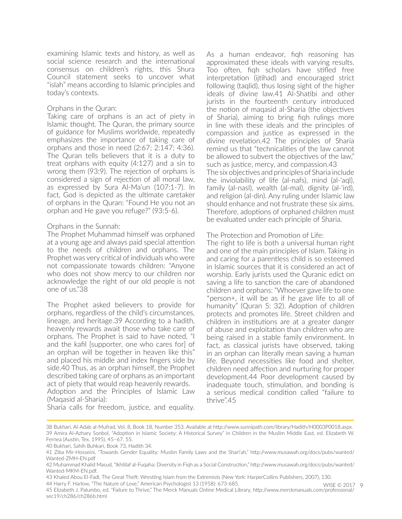examining Islamic texts and history, as well as social science research and the international consensus on children's rights, this Shura Council statement seeks to uncover what "islah" means according to Islamic principles and today's contexts.

#### Orphans in the Quran:

Taking care of orphans is an act of piety in Islamic thought. The Quran, the primary source of guidance for Muslims worldwide, repeatedly emphasizes the importance of taking care of orphans and those in need (2:67; 2:147; 4:36). The Quran tells believers that it is a duty to treat orphans with equity (4:127) and a sin to wrong them (93:9). The rejection of orphans is considered a sign of rejection of all moral law, as expressed by Sura Al-Ma'un (107:1-7). In fact, God is depicted as the ultimate caretaker of orphans in the Quran: "Found He you not an orphan and He gave you refuge?" (93:5-6).

#### Orphans in the Sunnah:

The Prophet Muhammad himself was orphaned at a young age and always paid special attention to the needs of children and orphans. The Prophet was very critical of individuals who were not compassionate towards children: "Anyone who does not show mercy to our children nor acknowledge the right of our old people is not one of us."38

The Prophet asked believers to provide for orphans, regardless of the child's circumstances, lineage, and heritage.39 According to a hadith, heavenly rewards await those who take care of orphans. The Prophet is said to have noted, "I and the kafil [supporter, one who cares for] of an orphan will be together in heaven like this" and placed his middle and index fingers side by side.40 Thus, as an orphan himself, the Prophet described taking care of orphans as an important act of piety that would reap heavenly rewards. Adoption and the Principles of Islamic Law (Maqasid al-Sharia):

As a human endeavor, fiqh reasoning has approximated these ideals with varying results. Too often, fiqh scholars have stifled free interpretation (ijtihad) and encouraged strict following (taqlid), thus losing sight of the higher ideals of divine law.41 Al-Shatibi and other jurists in the fourteenth century introduced the notion of maqasid al-Sharia (the objectives of Sharia), aiming to bring fiqh rulings more in line with these ideals and the principles of compassion and justice as expressed in the divine revelation.42 The principles of Sharia remind us that "technicalities of the law cannot be allowed to subvert the objectives of the law," such as justice, mercy, and compassion.43 The six objectives and principles of Sharia include the inviolability of life (al-nafs), mind (al-'aql), family (al-nasl), wealth (al-mal), dignity (al-'ird), and religion (al-din). Any ruling under Islamic law should enhance and not frustrate these six aims. Therefore, adoptions of orphaned children must be evaluated under each principle of Sharia.

#### The Protection and Promotion of Life:

The right to life is both a universal human right and one of the main principles of Islam. Taking in and caring for a parentless child is so esteemed in Islamic sources that it is considered an act of worship. Early jurists used the Quranic edict on saving a life to sanction the care of abandoned children and orphans: "Whoever gave life to one \*person+, it will be as if he gave life to all of humanity" (Quran 5: 32). Adoption of children protects and promotes life. Street children and children in institutions are at a greater danger of abuse and exploitation than children who are being raised in a stable family environment. In fact, as classical jurists have observed, taking in an orphan can literally mean saving a human life. Beyond necessities like food and shelter, children need affection and nurturing for proper development.44 Poor development caused by inadequate touch, stimulation, and bonding is a serious medical condition called "failure to thrive".45

WISE © 2017 9

Sharia calls for freedom, justice, and equality.

<sup>38</sup> Bukhari, Al-Adab al-Mufrad, Vol. 8, Book 18, Number 353. Available at http://www.sunnipath.com/library/Hadith/H0003P0018.aspx. 39 Amira Al-Azhary Sonbol, "Adoption in Islamic Society: A Historical Survey" in Children in the Muslim Middle East, ed. Elizabeth W. Fernea (Austin, Tex. 1995), 45–67. 55.

<sup>40</sup> Bukhari, Sahih Buhkari, Book 73, Hadith 34.

<sup>41</sup> Ziba Mir-Hosseini, "Towards Gender Equality: Muslim Family Laws and the Shari'ah," http://www.musawah.org/docs/pubs/wanted/ Wanted-ZMH-EN.pdf

<sup>42</sup> Muhammad Khalid Masud, "Ikhtilaf al-Fuqaha: Diversity in Fiqh as a Social Construction," http://www.musawah.org/docs/pubs/wanted/ Wanted-MKM-EN.pdf.

<sup>43</sup> Khaled Abou El-Fadl, The Great Theft: Wrestling Islam from the Extremists (New York: HarperCollins Publishers, 2007), 130.

<sup>44</sup> Harry F. Harlow, "The Nature of Love," American Psychologist 13 (1958): 673-685.

<sup>45</sup> Elizabeth J. Palumbo, ed. "Failure to Thrive," The Merck Manuals Online Medical Library, http://www.merckmanuals.com/professional/ sec19/ch286/ch286b.html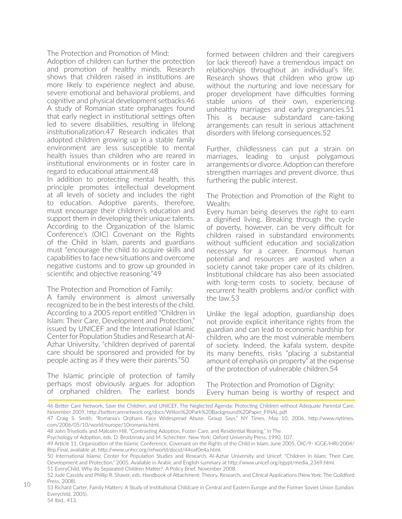The Protection and Promotion of Mind:

Adoption of children can further the protection and promotion of healthy minds. Research shows that children raised in institutions are more likely to experience neglect and abuse, severe emotional and behavioral problems, and cognitive and physical development setbacks.46 A study of Romanian state orphanages found that early neglect in institutional settings often led to severe disabilities, resulting in lifelong institutionalization.47 Research indicates that adopted children growing up in a stable family environment are less susceptible to mental health issues than children who are reared in institutional environments or in foster care in regard to educational attainment.48

In addition to protecting mental health, this principle promotes intellectual development at all levels of society and includes the right to education. Adoptive parents, therefore, must encourage their children's education and support them in developing their unique talents. According to the Organization of the Islamic Conference's (OIC) Covenant on the Rights of the Child in Islam, parents and guardians must "encourage the child to acquire skills and capabilities to face new situations and overcome negative customs and to grow up grounded in scientific and objective reasoning."49

The Protection and Promotion of Family:

A family environment is almost universally recognized to be in the best interests of the child. According to a 2005 report entitled "Children in Islam: Their Care, Development and Protection," issued by UNICEF and the International Islamic Center for Population Studies and Research at Al-Azhar University, "children deprived of parental care should be sponsored and provided for by people acting as if they were their parents."50

The Islamic principle of protection of family perhaps most obviously argues for adoption of orphaned children. The earliest bonds

formed between children and their caregivers (or lack thereof) have a tremendous impact on relationships throughout an individual's life. Research shows that children who grow up without the nurturing and love necessary for proper development have difficulties forming stable unions of their own, experiencing unhealthy marriages and early pregnancies.51 This is because substandard care-taking arrangements can result in serious attachment disorders with lifelong consequences.52

Further, childlessness can put a strain on marriages, leading to unjust polygamous arrangements or divorce. Adoption can therefore strengthen marriages and prevent divorce, thus furthering the public interest.

The Protection and Promotion of the Right to Wealth:

Every human being deserves the right to earn a dignified living. Breaking through the cycle of poverty, however, can be very difficult for children raised in substandard environments without sufficient education and socialization necessary for a career. Enormous human potential and resources are wasted when a society cannot take proper care of its children. Institutional childcare has also been associated with long-term costs to society, because of recurrent health problems and/or conflict with the law.53

Unlike the legal adoption, guardianship does not provide explicit inheritance rights from the guardian and can lead to economic hardship for children, who are the most vulnerable members of society. Indeed, the kafala system, despite its many benefits, risks "placing a substantial amount of emphasis on property" at the expense of the protection of vulnerable children.54

The Protection and Promotion of Dignity: Every human being is worthy of respect and

<sup>46</sup> Better Care Network, Save the Children, and UNICEF, The Neglected Agenda: Protecting Children without Adequate Parental Care, November 2009, http://bettercarenetwork.org/docs/Wilton%20Park%20Background%20Paper\_FINAL.pdf

<sup>47</sup> Craig S. Smith, "Romania's Orphans Face Widespread Abuse, Group Says," NY Times, May 10, 2006, http://www.nytimes. com/2006/05/10/world/europe/10romania.html.

<sup>48</sup> John Triseliotis and Malcolm Hill, "Contrasting Adoption, Foster Care, and Residential Rearing," in The

Psychology of Adoption, eds. D. Brodzinsky and M. Schechter. New York: Oxford University Press, 1990, 107.

<sup>49</sup> Article 11, Organization of the Islamic Conference, Covenant on the Rights of the Child in Islam, June 2005, OIC/9- IGGE/HRI/2004/ Rep.Final, available at: http://www.unhcr.org/refworld/docid/44eaf0e4a.html.

<sup>50</sup> International Islamic Center for Population Studies and Research, Al-Azhar University and Unicef, "Children in Islam: Their Care, Development and Protection," 2005. Available in Arabic and English summary at http://www.unicef.org/egypt/media\_2369.html. 51 EveryChild, Why do Separated Children Matter?: A Policy Brief, November 2008.

<sup>52</sup> Jude Cassidy and Phillip R. Shaver, eds. Handbook of Attachment: Theory, Research, and Clinical Applications (New York: The Guildford Press, 2008).

<sup>53</sup> Richard Carter, Family Matters: A Study of Institutional Childcare in Central and Eastern Europe and the Former Soviet Union (London: Everychild, 2005).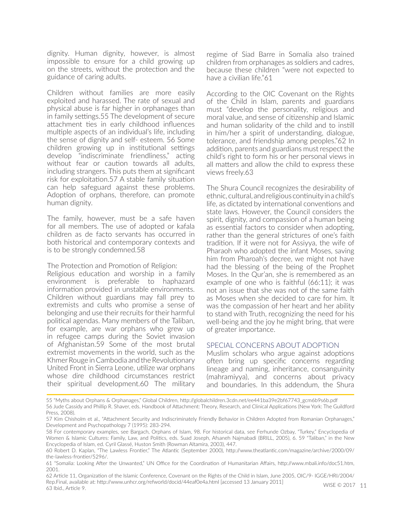dignity. Human dignity, however, is almost impossible to ensure for a child growing up on the streets, without the protection and the guidance of caring adults.

Children without families are more easily exploited and harassed. The rate of sexual and physical abuse is far higher in orphanages than in family settings.55 The development of secure attachment ties in early childhood influences multiple aspects of an individual's life, including the sense of dignity and self- esteem. 56 Some children growing up in institutional settings develop "indiscriminate friendliness," acting without fear or caution towards all adults, including strangers. This puts them at significant risk for exploitation.57 A stable family situation can help safeguard against these problems. Adoption of orphans, therefore, can promote human dignity.

The family, however, must be a safe haven for all members. The use of adopted or kafala children as de facto servants has occurred in both historical and contemporary contexts and is to be strongly condemned.58

The Protection and Promotion of Religion:

Religious education and worship in a family environment is preferable to haphazard information provided in unstable environments. Children without guardians may fall prey to extremists and cults who promise a sense of belonging and use their recruits for their harmful political agendas. Many members of the Taliban, for example, are war orphans who grew up in refugee camps during the Soviet invasion of Afghanistan.59 Some of the most brutal extremist movements in the world, such as the Khmer Rouge in Cambodia and the Revolutionary United Front in Sierra Leone, utilize war orphans whose dire childhood circumstances restrict their spiritual development.60 The military regime of Siad Barre in Somalia also trained children from orphanages as soldiers and cadres, because these children "were not expected to have a civilian life."61

According to the OIC Covenant on the Rights of the Child in Islam, parents and guardians must "develop the personality, religious and moral value, and sense of citizenship and Islamic and human solidarity of the child and to instill in him/her a spirit of understanding, dialogue, tolerance, and friendship among peoples."62 In addition, parents and guardians must respect the child's right to form his or her personal views in all matters and allow the child to express these views freely.63

The Shura Council recognizes the desirability of ethnic, cultural, and religious continuity in a child's life, as dictated by international conventions and state laws. However, the Council considers the spirit, dignity, and compassion of a human being as essential factors to consider when adopting, rather than the general strictures of one's faith tradition. If it were not for Assiyya, the wife of Pharaoh who adopted the infant Moses, saving him from Pharoah's decree, we might not have had the blessing of the being of the Prophet Moses. In the Qur'an, she is remembered as an example of one who is faithful (66:11); it was not an issue that she was not of the same faith as Moses when she decided to care for him. It was the compassion of her heart and her ability to stand with Truth, recognizing the need for his well-being and the joy he might bring, that were of greater importance.

#### SPECIAL CONCERNS ABOUT ADOPTION

Muslim scholars who argue against adoptions often bring up specific concerns regarding lineage and naming, inheritance, consanguinity (mahramiyya), and concerns about privacy and boundaries. In this addendum, the Shura

<sup>55 &</sup>quot;Myths about Orphans & Orphanages," Global Children, http://globalchildren.3cdn.net/ee441ba39e2bf67743\_gcm6b9s6b.pdf 56 Jude Cassidy and Phillip R. Shaver, eds. Handbook of Attachment: Theory, Research, and Clinical Applications (New York: The Guildford Press, 2008).

<sup>57</sup> Kim Chisholm et al., "Attachment Security and Indiscriminately Friendly Behavior in Children Adopted from Romanian Orphanages," Development and Psychopathology 7 (1995): 283-294.

<sup>58</sup> For contemporary examples, see Bargach, Orphans of Islam, 98. For historical data, see Ferhunde Ozbay, "Turkey," Encyclopedia of Women & Islamic Cultures: Family, Law, and Politics, eds. Suad Joseph, Afsaneh Najmabadi (BRILL, 2005), 6. 59 "Taliban," in the New Encyclopedia of Islam, ed. Cyril Glassé, Huston Smith (Rowman Altamira, 2003), 447.

<sup>60</sup> Robert D. Kaplan, "The Lawless Frontier," The Atlantic (September 2000), http://www.theatlantic.com/magazine/archive/2000/09/ the-lawless-frontier/5296/.

<sup>61 &</sup>quot;Somalia: Looking After the Unwanted," UN Office for the Coordination of Humanitarian Affairs, http://www.mbali.info/doc51.htm, 2001.

WISE © 2017 11 62 Article 11, Organization of the Islamic Conference, Covenant on the Rights of the Child in Islam, June 2005, OIC/9- IGGE/HRI/2004/ Rep.Final, available at: http://www.unhcr.org/refworld/docid/44eaf0e4a.html [accessed 13 January 2011] 63 Ibid., Article 9.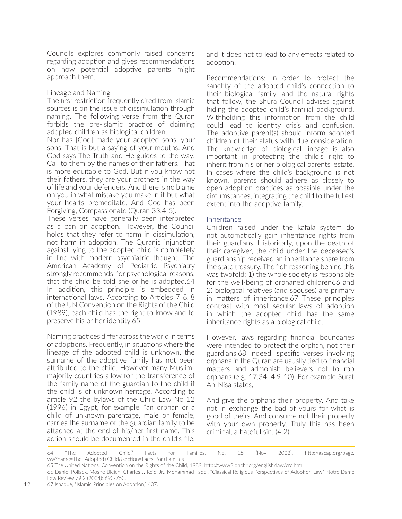Councils explores commonly raised concerns regarding adoption and gives recommendations on how potential adoptive parents might approach them.

#### Lineage and Naming

The first restriction frequently cited from Islamic sources is on the issue of dissimulation through naming. The following verse from the Quran forbids the pre-Islamic practice of claiming adopted children as biological children:

Nor has [God] made your adopted sons, your sons. That is but a saying of your mouths. And God says The Truth and He guides to the way. Call to them by the names of their fathers. That is more equitable to God. But if you know not their fathers, they are your brothers in the way of life and your defenders. And there is no blame on you in what mistake you make in it but what your hearts premeditate. And God has been Forgiving, Compassionate (Quran 33:4-5).

These verses have generally been interpreted as a ban on adoption. However, the Council holds that they refer to harm in dissimulation, not harm in adoption. The Quranic injunction against lying to the adopted child is completely in line with modern psychiatric thought. The American Academy of Pediatric Psychiatry strongly recommends, for psychological reasons, that the child be told she or he is adopted.64 In addition, this principle is embedded in international laws. According to Articles 7 & 8 of the UN Convention on the Rights of the Child (1989), each child has the right to know and to preserve his or her identity.65

Naming practices differ across the world in terms of adoptions. Frequently, in situations where the lineage of the adopted child is unknown, the surname of the adoptive family has not been attributed to the child. However many Muslimmajority countries allow for the transference of the family name of the guardian to the child if the child is of unknown heritage. According to article 92 the bylaws of the Child Law No 12 (1996) in Egypt, for example, "an orphan or a child of unknown parentage, male or female, carries the surname of the guardian family to be attached at the end of his/her first name. This action should be documented in the child's file,

and it does not to lead to any effects related to adoption."

Recommendations: In order to protect the sanctity of the adopted child's connection to their biological family, and the natural rights that follow, the Shura Council advises against hiding the adopted child's familial background. Withholding this information from the child could lead to identity crisis and confusion. The adoptive parent(s) should inform adopted children of their status with due consideration. The knowledge of biological lineage is also important in protecting the child's right to inherit from his or her biological parents' estate. In cases where the child's background is not known, parents should adhere as closely to open adoption practices as possible under the circumstances, integrating the child to the fullest extent into the adoptive family.

#### Inheritance

Children raised under the kafala system do not automatically gain inheritance rights from their guardians. Historically, upon the death of their caregiver, the child under the deceased's guardianship received an inheritance share from the state treasury. The fiqh reasoning behind this was twofold: 1) the whole society is responsible for the well-being of orphaned children66 and 2) biological relatives (and spouses) are primary in matters of inheritance.67 These principles contrast with most secular laws of adoption in which the adopted child has the same inheritance rights as a biological child.

However, laws regarding financial boundaries were intended to protect the orphan, not their guardians.68 Indeed, specific verses involving orphans in the Quran are usually tied to financial matters and admonish believers not to rob orphans (e.g. 17:34, 4:9-10). For example Surat An-Nisa states,

And give the orphans their property. And take not in exchange the bad of yours for what is good of theirs. And consume not their property with your own property. Truly this has been criminal, a hateful sin. (4:2)

<sup>64 &</sup>quot;The Adopted Child," Facts for Families, No. 15 (Nov 2002), http://aacap.org/page. ww?name=The+Adopted+Child&section=Facts+for+Families

<sup>65</sup> The United Nations, Convention on the Rights of the Child, 1989, http://www2.ohchr.org/english/law/crc.htm.

<sup>66</sup> Daniel Pollack, Moshe Bleich, Charles J. Reid, Jr., Mohammad Fadel, "Classical Religious Perspectives of Adoption Law," Notre Dame Law Review 79.2 (2004): 693-753.

<sup>67</sup> Ishaque, "Islamic Principles on Adoption," 407.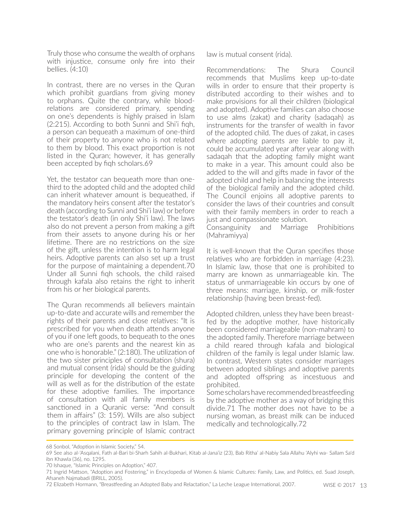Truly those who consume the wealth of orphans with injustice, consume only fire into their bellies. (4:10)

In contrast, there are no verses in the Quran which prohibit guardians from giving money to orphans. Quite the contrary, while bloodrelations are considered primary, spending on one's dependents is highly praised in Islam (2:215). According to both Sunni and Shi'i fiqh, a person can bequeath a maximum of one-third of their property to anyone who is not related to them by blood. This exact proportion is not listed in the Quran; however, it has generally been accepted by fiqh scholars.69

Yet, the testator can bequeath more than onethird to the adopted child and the adopted child can inherit whatever amount is bequeathed, if the mandatory heirs consent after the testator's death (according to Sunni and Shi'i law) or before the testator's death (in only Shi'i law). The laws also do not prevent a person from making a gift from their assets to anyone during his or her lifetime. There are no restrictions on the size of the gift, unless the intention is to harm legal heirs. Adoptive parents can also set up a trust for the purpose of maintaining a dependent.70 Under all Sunni fiqh schools, the child raised through kafala also retains the right to inherit from his or her biological parents.

The Quran recommends all believers maintain up-to-date and accurate wills and remember the rights of their parents and close relatives: "It is prescribed for you when death attends anyone of you if one left goods, to bequeath to the ones who are one's parents and the nearest kin as one who is honorable." (2:180). The utilization of the two sister principles of consultation (shura) and mutual consent (rida) should be the guiding principle for developing the content of the will as well as for the distribution of the estate for these adoptive families. The importance of consultation with all family members is sanctioned in a Quranic verse: "And consult them in affairs" (3: 159). Wills are also subject to the principles of contract law in Islam. The primary governing principle of Islamic contract

law is mutual consent (rida).

Recommendations: The Shura Council recommends that Muslims keep up-to-date wills in order to ensure that their property is distributed according to their wishes and to make provisions for all their children (biological and adopted). Adoptive families can also choose to use alms (zakat) and charity (sadaqah) as instruments for the transfer of wealth in favor of the adopted child. The dues of zakat, in cases where adopting parents are liable to pay it, could be accumulated year after year along with sadaqah that the adopting family might want to make in a year. This amount could also be added to the will and gifts made in favor of the adopted child and help in balancing the interests of the biological family and the adopted child. The Council enjoins all adoptive parents to consider the laws of their countries and consult with their family members in order to reach a just and compassionate solution.

Consanguinity and Marriage Prohibitions (Mahramiyya)

It is well-known that the Quran specifies those relatives who are forbidden in marriage (4:23). In Islamic law, those that one is prohibited to marry are known as unmarriageable kin. The status of unmarriageable kin occurs by one of three means: marriage, kinship, or milk-foster relationship (having been breast-fed).

Adopted children, unless they have been breastfed by the adoptive mother, have historically been considered marriageable (non-mahram) to the adopted family. Therefore marriage between a child reared through kafala and biological children of the family is legal under Islamic law. In contrast, Western states consider marriages between adopted siblings and adoptive parents and adopted offspring as incestuous and prohibited.

Some scholars have recommended breastfeeding by the adoptive mother as a way of bridging this divide.71 The mother does not have to be a nursing woman, as breast milk can be induced medically and technologically.72

<sup>68</sup> Sonbol, "Adoption in Islamic Society," 54.

<sup>69</sup> See also al-'Asqalani, Fath al-Bari bi-Sharh Sahih al-Bukhari, Kitab al-Jana'iz (23), Bab Ritha' al-Nabiy Sala Allahu 'Alyhi wa- Sallam Sa'd ibn Khawla (36), no. 1295.

<sup>70</sup> Ishaque, "Islamic Principles on Adoption," 407.

<sup>71</sup> Ingrid Mattson, "Adoption and Fostering," in Encyclopedia of Women & Islamic Cultures: Family, Law, and Politics, ed. Suad Joseph, Afsaneh Najmabadi (BRILL, 2005).

<sup>72</sup> Elizabeth Hormann, "Breastfeeding an Adopted Baby and Relactation," La Leche League International, 2007.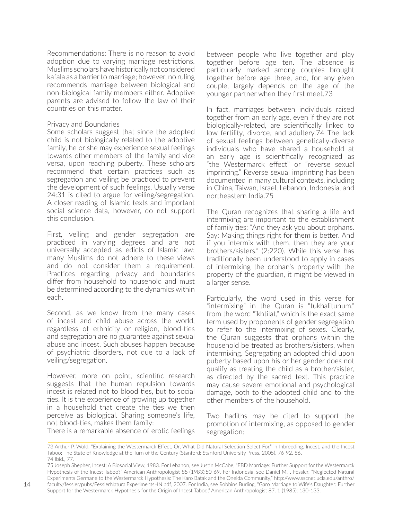Recommendations: There is no reason to avoid adoption due to varying marriage restrictions. Muslims scholars have historically not considered kafala as a barrier to marriage; however, no ruling recommends marriage between biological and non-biological family members either. Adoptive parents are advised to follow the law of their countries on this matter.

#### Privacy and Boundaries

Some scholars suggest that since the adopted child is not biologically related to the adoptive family, he or she may experience sexual feelings towards other members of the family and vice versa, upon reaching puberty. These scholars recommend that certain practices such as segregation and veiling be practiced to prevent the development of such feelings. Usually verse 24:31 is cited to argue for veiling/segregation. A closer reading of Islamic texts and important social science data, however, do not support this conclusion.

First, veiling and gender segregation are practiced in varying degrees and are not universally accepted as edicts of Islamic law; many Muslims do not adhere to these views and do not consider them a requirement. Practices regarding privacy and boundaries differ from household to household and must be determined according to the dynamics within each.

Second, as we know from the many cases of incest and child abuse across the world, regardless of ethnicity or religion, blood-ties and segregation are no guarantee against sexual abuse and incest. Such abuses happen because of psychiatric disorders, not due to a lack of veiling/segregation.

However, more on point, scientific research suggests that the human repulsion towards incest is related not to blood ties, but to social ties. It is the experience of growing up together in a household that create the ties we then perceive as biological. Sharing someone's life, not blood-ties, makes them family: There is a remarkable absence of erotic feelings

between people who live together and play together before age ten. The absence is particularly marked among couples brought together before age three, and, for any given couple, largely depends on the age of the younger partner when they first meet.73

In fact, marriages between individuals raised together from an early age, even if they are not biologically-related, are scientifically linked to low fertility, divorce, and adultery.74 The lack of sexual feelings between genetically-diverse individuals who have shared a household at an early age is scientifically recognized as "the Westermarck effect" or "reverse sexual imprinting." Reverse sexual imprinting has been documented in many cultural contexts, including in China, Taiwan, Israel, Lebanon, Indonesia, and northeastern India.75

The Quran recognizes that sharing a life and intermixing are important to the establishment of family ties: "And they ask you about orphans. Say: Making things right for them is better. And if you intermix with them, then they are your brothers/sisters." (2:220). While this verse has traditionally been understood to apply in cases of intermixing the orphan's property with the property of the guardian, it might be viewed in a larger sense.

Particularly, the word used in this verse for "intermixing" in the Quran is "tukhalituhum," from the word "ikhtilat," which is the exact same term used by proponents of gender segregation to refer to the intermixing of sexes. Clearly, the Quran suggests that orphans within the household be treated as brothers/sisters, when intermixing. Segregating an adopted child upon puberty based upon his or her gender does not qualify as treating the child as a brother/sister, as directed by the sacred text. This practice may cause severe emotional and psychological damage, both to the adopted child and to the other members of the household.

Two hadiths may be cited to support the promotion of intermixing, as opposed to gender segregation:

73 Arthur P. Wold, "Explaining the Westermarck Effect, Or, What Did Natural Selection Select For," in Inbreeding, Incest, and the Incest Taboo: The State of Knowledge at the Turn of the Century (Stanford: Stanford University Press, 2005), 76-92. 86. 74 Ibid., 77.

75 Joseph Shepher, Incest: A Biosocial View, 1983. For Lebanon, see Justin McCabe, "FBD Marriage: Further Support for the Westermarck Hypothesis of the Incest Taboo?" American Anthropologist 85 (1983):50-69. For Indonesia, see Daniel M.T. Fessler, "Neglected Natural Experiments Germane to the Westermarck Hypothesis: The Karo Batak and the Oneida Community," http://www.sscnet.ucla.edu/anthro/ faculty/fessler/pubs/FesslerNaturalExperimentsHN.pdf, 2007. For India, see Robbins Burling, "Garo Marriage to Wife's Daughter: Further Support for the Westermarck Hypothesis for the Origin of Incest Taboo," American Anthropologist 87. 1 (1985): 130-133.